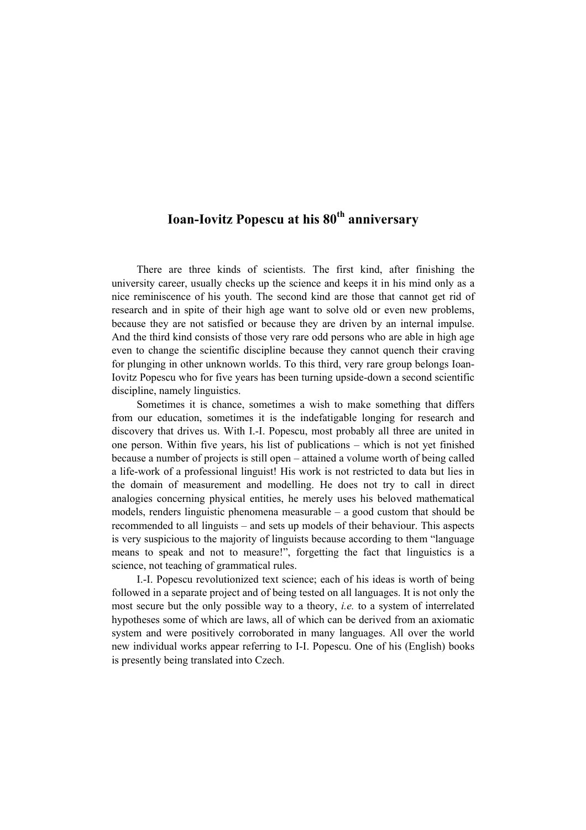## **Ioan-Iovitz Popescu at his 80th anniversary**

There are three kinds of scientists. The first kind, after finishing the university career, usually checks up the science and keeps it in his mind only as a nice reminiscence of his youth. The second kind are those that cannot get rid of research and in spite of their high age want to solve old or even new problems, because they are not satisfied or because they are driven by an internal impulse. And the third kind consists of those very rare odd persons who are able in high age even to change the scientific discipline because they cannot quench their craving for plunging in other unknown worlds. To this third, very rare group belongs Ioan-Iovitz Popescu who for five years has been turning upside-down a second scientific discipline, namely linguistics.

 Sometimes it is chance, sometimes a wish to make something that differs from our education, sometimes it is the indefatigable longing for research and discovery that drives us. With I.-I. Popescu, most probably all three are united in one person. Within five years, his list of publications – which is not yet finished because a number of projects is still open – attained a volume worth of being called a life-work of a professional linguist! His work is not restricted to data but lies in the domain of measurement and modelling. He does not try to call in direct analogies concerning physical entities, he merely uses his beloved mathematical models, renders linguistic phenomena measurable – a good custom that should be recommended to all linguists – and sets up models of their behaviour. This aspects is very suspicious to the majority of linguists because according to them "language means to speak and not to measure!", forgetting the fact that linguistics is a science, not teaching of grammatical rules.

 I.-I. Popescu revolutionized text science; each of his ideas is worth of being followed in a separate project and of being tested on all languages. It is not only the most secure but the only possible way to a theory, *i.e.* to a system of interrelated hypotheses some of which are laws, all of which can be derived from an axiomatic system and were positively corroborated in many languages. All over the world new individual works appear referring to I-I. Popescu. One of his (English) books is presently being translated into Czech.